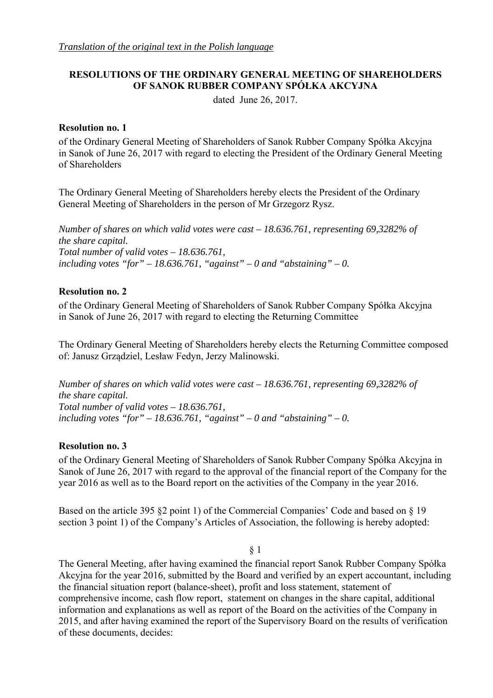# **RESOLUTIONS OF THE ORDINARY GENERAL MEETING OF SHAREHOLDERS OF SANOK RUBBER COMPANY SPÓŁKA AKCYJNA**

dated June 26, 2017.

### **Resolution no. 1**

of the Ordinary General Meeting of Shareholders of Sanok Rubber Company Spółka Akcyjna in Sanok of June 26, 2017 with regard to electing the President of the Ordinary General Meeting of Shareholders

The Ordinary General Meeting of Shareholders hereby elects the President of the Ordinary General Meeting of Shareholders in the person of Mr Grzegorz Rysz.

*Number of shares on which valid votes were cast – 18.636.761, representing 69,3282% of the share capital. Total number of valid votes – 18.636.761,*  including votes "for"  $-18.636.761$ , "against"  $-0$  and "abstaining"  $-0$ .

## **Resolution no. 2**

of the Ordinary General Meeting of Shareholders of Sanok Rubber Company Spółka Akcyjna in Sanok of June 26, 2017 with regard to electing the Returning Committee

The Ordinary General Meeting of Shareholders hereby elects the Returning Committee composed of: Janusz Grządziel, Lesław Fedyn, Jerzy Malinowski.

*Number of shares on which valid votes were cast – 18.636.761, representing 69,3282% of the share capital. Total number of valid votes – 18.636.761,*  including votes "for" – 18.636.761, "against" – 0 and "abstaining" – 0.

## **Resolution no. 3**

of the Ordinary General Meeting of Shareholders of Sanok Rubber Company Spółka Akcyjna in Sanok of June 26, 2017 with regard to the approval of the financial report of the Company for the year 2016 as well as to the Board report on the activities of the Company in the year 2016.

Based on the article 395 §2 point 1) of the Commercial Companies' Code and based on § 19 section 3 point 1) of the Company's Articles of Association, the following is hereby adopted:

§ 1

The General Meeting, after having examined the financial report Sanok Rubber Company Spółka Akcyjna for the year 2016, submitted by the Board and verified by an expert accountant, including the financial situation report (balance-sheet), profit and loss statement, statement of comprehensive income, cash flow report, statement on changes in the share capital, additional information and explanations as well as report of the Board on the activities of the Company in 2015, and after having examined the report of the Supervisory Board on the results of verification of these documents, decides: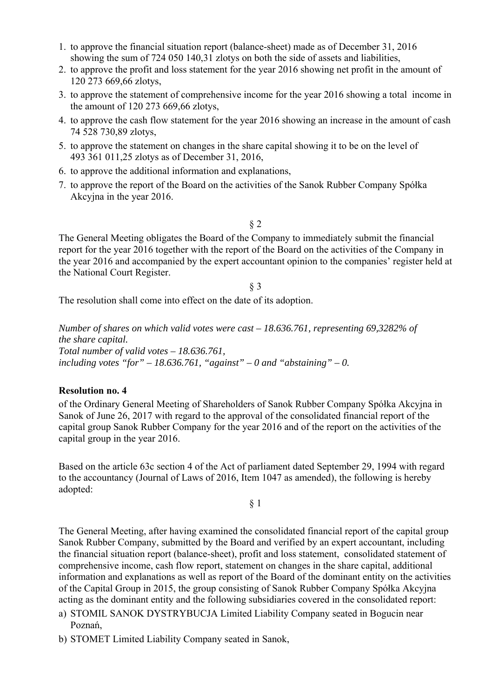- 1. to approve the financial situation report (balance-sheet) made as of December 31, 2016 showing the sum of 724 050 140,31 zlotys on both the side of assets and liabilities,
- 2. to approve the profit and loss statement for the year 2016 showing net profit in the amount of 120 273 669,66 zlotys,
- 3. to approve the statement of comprehensive income for the year 2016 showing a total income in the amount of 120 273 669,66 zlotys,
- 4. to approve the cash flow statement for the year 2016 showing an increase in the amount of cash 74 528 730,89 zlotys,
- 5. to approve the statement on changes in the share capital showing it to be on the level of 493 361 011,25 zlotys as of December 31, 2016,
- 6. to approve the additional information and explanations,
- 7. to approve the report of the Board on the activities of the Sanok Rubber Company Spółka Akcyjna in the year 2016.

#### § 2

The General Meeting obligates the Board of the Company to immediately submit the financial report for the year 2016 together with the report of the Board on the activities of the Company in the year 2016 and accompanied by the expert accountant opinion to the companies' register held at the National Court Register.

§ 3

The resolution shall come into effect on the date of its adoption.

*Number of shares on which valid votes were cast – 18.636.761, representing 69,3282% of the share capital. Total number of valid votes – 18.636.761,*  including votes "for" – 18.636.761, "against" – 0 and "abstaining" – 0.

#### **Resolution no. 4**

of the Ordinary General Meeting of Shareholders of Sanok Rubber Company Spółka Akcyjna in Sanok of June 26, 2017 with regard to the approval of the consolidated financial report of the capital group Sanok Rubber Company for the year 2016 and of the report on the activities of the capital group in the year 2016.

Based on the article 63c section 4 of the Act of parliament dated September 29, 1994 with regard to the accountancy (Journal of Laws of 2016, Item 1047 as amended), the following is hereby adopted:

§ 1

The General Meeting, after having examined the consolidated financial report of the capital group Sanok Rubber Company, submitted by the Board and verified by an expert accountant, including the financial situation report (balance-sheet), profit and loss statement, consolidated statement of comprehensive income, cash flow report, statement on changes in the share capital, additional information and explanations as well as report of the Board of the dominant entity on the activities of the Capital Group in 2015, the group consisting of Sanok Rubber Company Spółka Akcyjna acting as the dominant entity and the following subsidiaries covered in the consolidated report:

- a) STOMIL SANOK DYSTRYBUCJA Limited Liability Company seated in Bogucin near Poznań,
- b) STOMET Limited Liability Company seated in Sanok,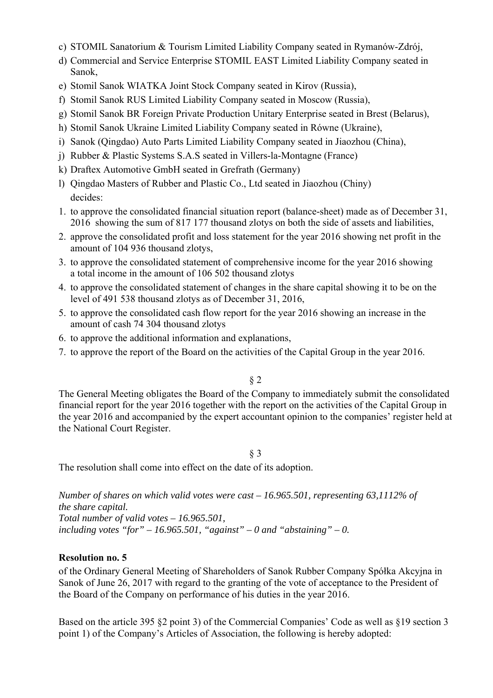- c) STOMIL Sanatorium & Tourism Limited Liability Company seated in Rymanów-Zdrój,
- d) Commercial and Service Enterprise STOMIL EAST Limited Liability Company seated in Sanok,
- e) Stomil Sanok WIATKA Joint Stock Company seated in Kirov (Russia),
- f) Stomil Sanok RUS Limited Liability Company seated in Moscow (Russia),
- g) Stomil Sanok BR Foreign Private Production Unitary Enterprise seated in Brest (Belarus),
- h) Stomil Sanok Ukraine Limited Liability Company seated in Równe (Ukraine),
- i) Sanok (Qingdao) Auto Parts Limited Liability Company seated in Jiaozhou (China),
- j) Rubber & Plastic Systems S.A.S seated in Villers-la-Montagne (France)
- k) Draftex Automotive GmbH seated in Grefrath (Germany)
- l) Qingdao Masters of Rubber and Plastic Co., Ltd seated in Jiaozhou (Chiny) decides:
- 1. to approve the consolidated financial situation report (balance-sheet) made as of December 31, 2016 showing the sum of 817 177 thousand zlotys on both the side of assets and liabilities,
- 2. approve the consolidated profit and loss statement for the year 2016 showing net profit in the amount of 104 936 thousand zlotys,
- 3. to approve the consolidated statement of comprehensive income for the year 2016 showing a total income in the amount of 106 502 thousand zlotys
- 4. to approve the consolidated statement of changes in the share capital showing it to be on the level of 491 538 thousand zlotys as of December 31, 2016,
- 5. to approve the consolidated cash flow report for the year 2016 showing an increase in the amount of cash 74 304 thousand zlotys
- 6. to approve the additional information and explanations,
- 7. to approve the report of the Board on the activities of the Capital Group in the year 2016.

§ 2

The General Meeting obligates the Board of the Company to immediately submit the consolidated financial report for the year 2016 together with the report on the activities of the Capital Group in the year 2016 and accompanied by the expert accountant opinion to the companies' register held at the National Court Register.

## § 3

The resolution shall come into effect on the date of its adoption.

*Number of shares on which valid votes were cast – 16.965.501, representing 63,1112% of the share capital. Total number of valid votes – 16.965.501,*  including votes "for"  $-16.965.501$ , "against"  $-0$  and "abstaining"  $-0$ .

# **Resolution no. 5**

of the Ordinary General Meeting of Shareholders of Sanok Rubber Company Spółka Akcyjna in Sanok of June 26, 2017 with regard to the granting of the vote of acceptance to the President of the Board of the Company on performance of his duties in the year 2016.

Based on the article 395 §2 point 3) of the Commercial Companies' Code as well as §19 section 3 point 1) of the Company's Articles of Association, the following is hereby adopted: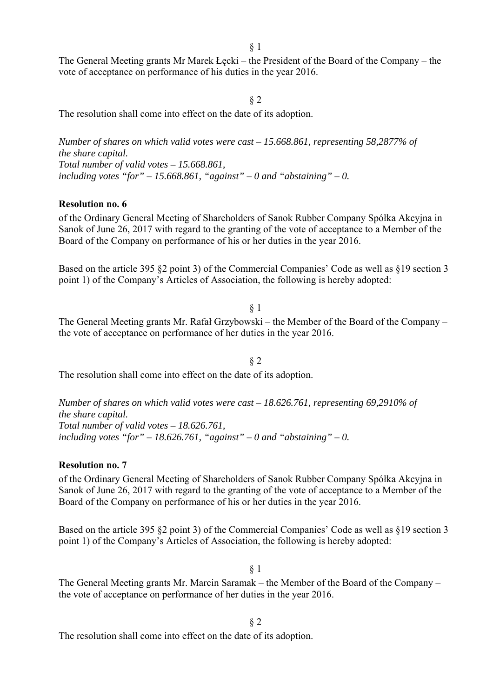The General Meeting grants Mr Marek Łęcki – the President of the Board of the Company – the vote of acceptance on performance of his duties in the year 2016.

§ 2

The resolution shall come into effect on the date of its adoption.

*Number of shares on which valid votes were cast – 15.668.861, representing 58,2877% of the share capital. Total number of valid votes – 15.668.861,*  including votes "for"  $-15.668.861$ , "against"  $-0$  and "abstaining"  $-0$ .

#### **Resolution no. 6**

of the Ordinary General Meeting of Shareholders of Sanok Rubber Company Spółka Akcyjna in Sanok of June 26, 2017 with regard to the granting of the vote of acceptance to a Member of the Board of the Company on performance of his or her duties in the year 2016.

Based on the article 395 §2 point 3) of the Commercial Companies' Code as well as §19 section 3 point 1) of the Company's Articles of Association, the following is hereby adopted:

§ 1 The General Meeting grants Mr. Rafał Grzybowski – the Member of the Board of the Company – the vote of acceptance on performance of her duties in the year 2016.

§ 2 The resolution shall come into effect on the date of its adoption.

*Number of shares on which valid votes were cast – 18.626.761, representing 69,2910% of the share capital. Total number of valid votes – 18.626.761,*  including votes "for"  $-18.626.761$ , "against"  $-0$  and "abstaining"  $-0$ .

#### **Resolution no. 7**

of the Ordinary General Meeting of Shareholders of Sanok Rubber Company Spółka Akcyjna in Sanok of June 26, 2017 with regard to the granting of the vote of acceptance to a Member of the Board of the Company on performance of his or her duties in the year 2016.

Based on the article 395 §2 point 3) of the Commercial Companies' Code as well as §19 section 3 point 1) of the Company's Articles of Association, the following is hereby adopted:

### § 1

The General Meeting grants Mr. Marcin Saramak – the Member of the Board of the Company – the vote of acceptance on performance of her duties in the year 2016.

§ 2

The resolution shall come into effect on the date of its adoption.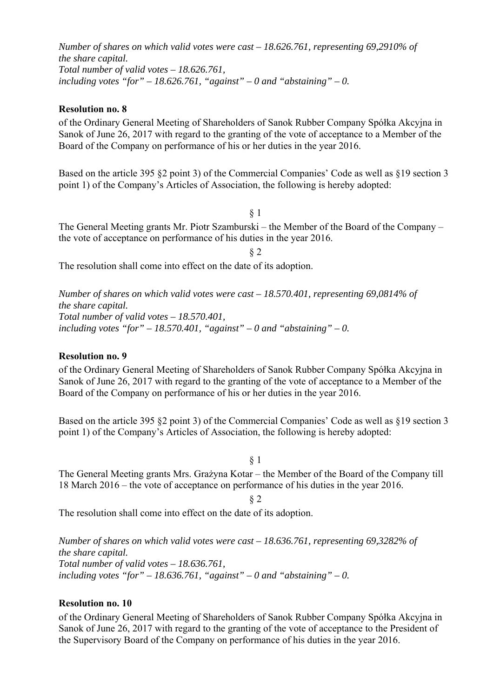*Number of shares on which valid votes were cast – 18.626.761, representing 69,2910% of the share capital. Total number of valid votes – 18.626.761,*  including votes "for"  $-18.626.761$ , "against"  $-0$  and "abstaining"  $-0$ .

### **Resolution no. 8**

of the Ordinary General Meeting of Shareholders of Sanok Rubber Company Spółka Akcyjna in Sanok of June 26, 2017 with regard to the granting of the vote of acceptance to a Member of the Board of the Company on performance of his or her duties in the year 2016.

Based on the article 395 §2 point 3) of the Commercial Companies' Code as well as §19 section 3 point 1) of the Company's Articles of Association, the following is hereby adopted:

§ 1

The General Meeting grants Mr. Piotr Szamburski – the Member of the Board of the Company – the vote of acceptance on performance of his duties in the year 2016.

§ 2

The resolution shall come into effect on the date of its adoption.

*Number of shares on which valid votes were cast – 18.570.401, representing 69,0814% of the share capital. Total number of valid votes – 18.570.401,*  including votes "for"  $-18.570.401$ , "against"  $-0$  and "abstaining"  $-0$ .

#### **Resolution no. 9**

of the Ordinary General Meeting of Shareholders of Sanok Rubber Company Spółka Akcyjna in Sanok of June 26, 2017 with regard to the granting of the vote of acceptance to a Member of the Board of the Company on performance of his or her duties in the year 2016.

Based on the article 395 §2 point 3) of the Commercial Companies' Code as well as §19 section 3 point 1) of the Company's Articles of Association, the following is hereby adopted:

§ 1

The General Meeting grants Mrs. Grażyna Kotar – the Member of the Board of the Company till 18 March 2016 – the vote of acceptance on performance of his duties in the year 2016.

§ 2

The resolution shall come into effect on the date of its adoption.

*Number of shares on which valid votes were cast – 18.636.761, representing 69,3282% of the share capital. Total number of valid votes – 18.636.761,*  including votes "for"  $-18.636.761$ , "against"  $-0$  and "abstaining"  $-0$ .

## **Resolution no. 10**

of the Ordinary General Meeting of Shareholders of Sanok Rubber Company Spółka Akcyjna in Sanok of June 26, 2017 with regard to the granting of the vote of acceptance to the President of the Supervisory Board of the Company on performance of his duties in the year 2016.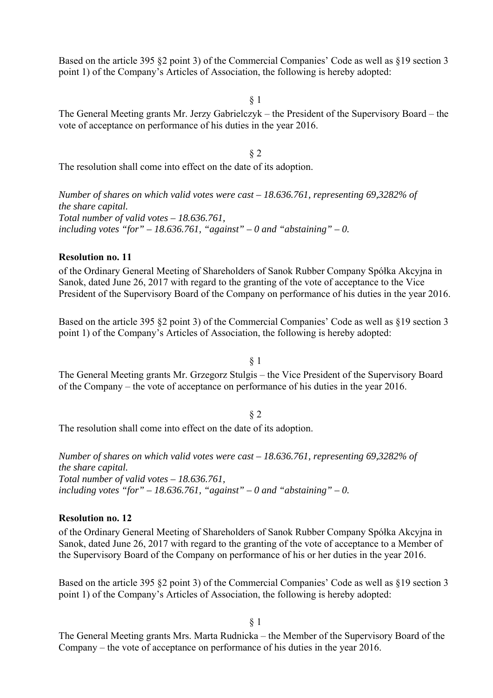Based on the article 395 §2 point 3) of the Commercial Companies' Code as well as §19 section 3 point 1) of the Company's Articles of Association, the following is hereby adopted:

§ 1

The General Meeting grants Mr. Jerzy Gabrielczyk – the President of the Supervisory Board – the vote of acceptance on performance of his duties in the year 2016.

§ 2

The resolution shall come into effect on the date of its adoption.

*Number of shares on which valid votes were cast – 18.636.761, representing 69,3282% of the share capital. Total number of valid votes – 18.636.761,*  including votes "for"  $-18.636.761$ , "against"  $-0$  and "abstaining"  $-0$ .

### **Resolution no. 11**

of the Ordinary General Meeting of Shareholders of Sanok Rubber Company Spółka Akcyjna in Sanok, dated June 26, 2017 with regard to the granting of the vote of acceptance to the Vice President of the Supervisory Board of the Company on performance of his duties in the year 2016.

Based on the article 395 §2 point 3) of the Commercial Companies' Code as well as §19 section 3 point 1) of the Company's Articles of Association, the following is hereby adopted:

§ 1

The General Meeting grants Mr. Grzegorz Stulgis – the Vice President of the Supervisory Board of the Company – the vote of acceptance on performance of his duties in the year 2016.

§ 2

The resolution shall come into effect on the date of its adoption.

*Number of shares on which valid votes were cast – 18.636.761, representing 69,3282% of the share capital. Total number of valid votes – 18.636.761,*  including votes "for"  $-18.636.761$ , "against"  $-0$  and "abstaining"  $-0$ .

#### **Resolution no. 12**

of the Ordinary General Meeting of Shareholders of Sanok Rubber Company Spółka Akcyjna in Sanok, dated June 26, 2017 with regard to the granting of the vote of acceptance to a Member of the Supervisory Board of the Company on performance of his or her duties in the year 2016.

Based on the article 395 §2 point 3) of the Commercial Companies' Code as well as §19 section 3 point 1) of the Company's Articles of Association, the following is hereby adopted:

§ 1

The General Meeting grants Mrs. Marta Rudnicka – the Member of the Supervisory Board of the Company – the vote of acceptance on performance of his duties in the year 2016.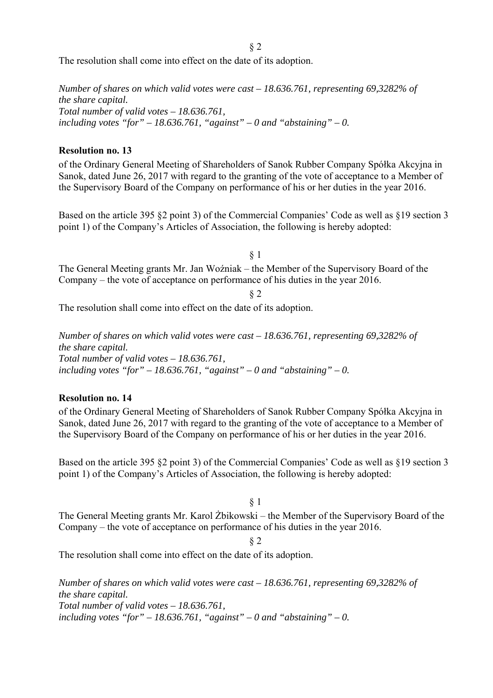§ 2

The resolution shall come into effect on the date of its adoption.

*Number of shares on which valid votes were cast – 18.636.761, representing 69,3282% of the share capital. Total number of valid votes – 18.636.761,*  including votes "for"  $-18.636.761$ , "against"  $-0$  and "abstaining"  $-0$ .

### **Resolution no. 13**

of the Ordinary General Meeting of Shareholders of Sanok Rubber Company Spółka Akcyjna in Sanok, dated June 26, 2017 with regard to the granting of the vote of acceptance to a Member of the Supervisory Board of the Company on performance of his or her duties in the year 2016.

Based on the article 395 §2 point 3) of the Commercial Companies' Code as well as §19 section 3 point 1) of the Company's Articles of Association, the following is hereby adopted:

§ 1 The General Meeting grants Mr. Jan Woźniak – the Member of the Supervisory Board of the Company – the vote of acceptance on performance of his duties in the year 2016.

§ 2

The resolution shall come into effect on the date of its adoption.

*Number of shares on which valid votes were cast – 18.636.761, representing 69,3282% of the share capital. Total number of valid votes – 18.636.761,*  including votes "for"  $-18.636.761$ , "against"  $-0$  and "abstaining"  $-0$ .

### **Resolution no. 14**

of the Ordinary General Meeting of Shareholders of Sanok Rubber Company Spółka Akcyjna in Sanok, dated June 26, 2017 with regard to the granting of the vote of acceptance to a Member of the Supervisory Board of the Company on performance of his or her duties in the year 2016.

Based on the article 395 §2 point 3) of the Commercial Companies' Code as well as §19 section 3 point 1) of the Company's Articles of Association, the following is hereby adopted:

§ 1

The General Meeting grants Mr. Karol Żbikowski – the Member of the Supervisory Board of the Company – the vote of acceptance on performance of his duties in the year 2016.

#### § 2

The resolution shall come into effect on the date of its adoption.

*Number of shares on which valid votes were cast – 18.636.761, representing 69,3282% of the share capital. Total number of valid votes – 18.636.761,*  including votes "for"  $-18.636.761$ , "against"  $-0$  and "abstaining"  $-0$ .